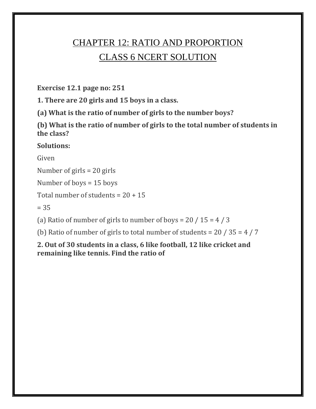# CHAPTER 12: RATIO AND PROPORTION CLASS 6 NCERT SOLUTION

**Exercise 12.1 page no: 251**

**1. There are 20 girls and 15 boys in a class.**

**(a) What is the ratio of number of girls to the number boys?**

**(b) What is the ratio of number of girls to the total number of students in the class?**

## **Solutions:**

Given

Number of girls = 20 girls

Number of boys = 15 boys

Total number of students =  $20 + 15$ 

 $= 35$ 

(a) Ratio of number of girls to number of boys =  $20/15 = 4/3$ 

(b) Ratio of number of girls to total number of students =  $20/35 = 4/7$ 

**2. Out of 30 students in a class, 6 like football, 12 like cricket and remaining like tennis. Find the ratio of**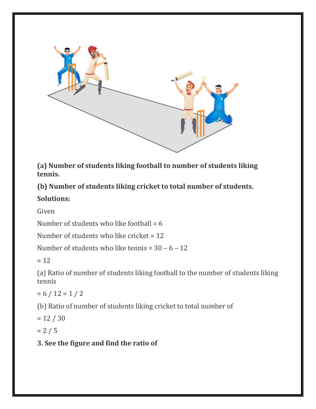

**(a) Number of students liking football to number of students liking tennis.**

**(b) Number of students liking cricket to total number of students.**

#### **Solutions:**

Given

Number of students who like football  $= 6$ 

Number of students who like cricket = 12

Number of students who like tennis = 30 – 6 – 12

 $= 12$ 

(a) Ratio of number of students liking football to the number of students liking tennis

 $= 6 / 12 = 1 / 2$ 

(b) Ratio of number of students liking cricket to total number of

 $= 12 / 30$ 

 $= 2 / 5$ 

## **3. See the figure and find the ratio of**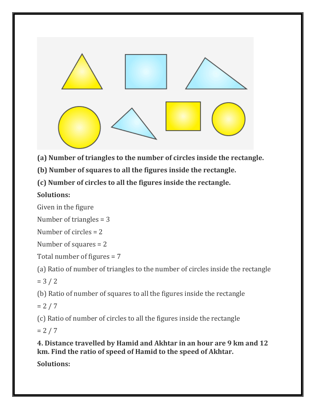

**(a) Number of triangles to the number of circles inside the rectangle.**

**(b) Number of squares to all the figures inside the rectangle.**

**(c) Number of circles to all the figures inside the rectangle.**

# **Solutions:**

Given in the figure

Number of triangles = 3

Number of circles = 2

Number of squares = 2

Total number of figures = 7

(a) Ratio of number of triangles to the number of circles inside the rectangle

 $= 3 / 2$ 

(b) Ratio of number of squares to all the figures inside the rectangle

 $= 2 / 7$ 

(c) Ratio of number of circles to all the figures inside the rectangle

 $= 2 / 7$ 

**4. Distance travelled by Hamid and Akhtar in an hour are 9 km and 12 km. Find the ratio of speed of Hamid to the speed of Akhtar.**

**Solutions:**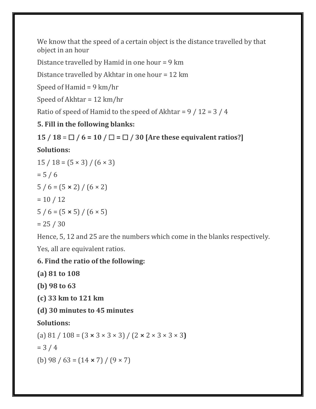We know that the speed of a certain object is the distance travelled by that object in an hour

Distance travelled by Hamid in one hour = 9 km

Distance travelled by Akhtar in one hour = 12 km

Speed of Hamid = 9 km/hr

Speed of Akhtar = 12 km/hr

Ratio of speed of Hamid to the speed of Akhtar =  $9/12 = 3/4$ 

# **5. Fill in the following blanks:**

```
15 / 18 = \Box / 6 = 10 / \Box = \Box / 30 [Are these equivalent ratios?]
```
# **Solutions:**

$$
15 / 18 = (5 \times 3) / (6 \times 3)
$$
  
= 5 / 6  

$$
5 / 6 = (5 \times 2) / (6 \times 2)
$$
  
= 10 / 12  

$$
5 / 6 = (5 \times 5) / (6 \times 5)
$$
  
= 25 / 30

Hence, 5, 12 and 25 are the numbers which come in the blanks respectively.

Yes, all are equivalent ratios.

# **6. Find the ratio of the following:**

**(a) 81 to 108**

**(b) 98 to 63**

**(c) 33 km to 121 km**

**(d) 30 minutes to 45 minutes**

# **Solutions:**

(a) 81 / 108 = (3 **×** 3 × 3 × 3) / (2 **×** 2 × 3 × 3 × 3**)**

 $= 3 / 4$ 

(b) 98 / 63 = (14 **×** 7) / (9 × 7)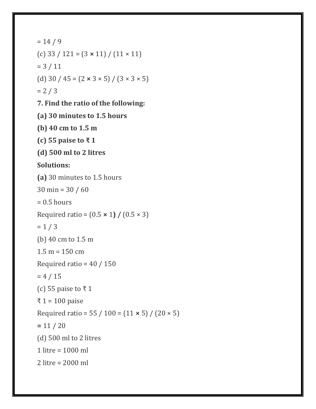```
= 14 / 9(c) 33 / 121 = (3 × 11) / (11 × 11)
= 3 / 11(d) 30 / 45 = (2 \times 3 \times 5) / (3 \times 3 \times 5)= 2 / 37. Find the ratio of the following:
(a) 30 minutes to 1.5 hours
(b) 40 cm to 1.5 m
(c) 55 paise to ₹ 1
(d) 500 ml to 2 litres
Solutions:
(a) 30 minutes to 1.5 hours
30 min = 30 / 60
= 0.5 hours
Required ratio = (0.5 × 1) / (0.5 × 3)
= 1 / 3(b) 40 cm to 1.5 m
1.5 m = 150 cmRequired ratio = 40 / 150= 4 / 15(c) 55 paise to ₹ 1
₹ 1 = 100 paise
Required ratio = 55 / 100 = (11 × 5) / (20 × 5)
= 11 / 20(d) 500 ml to 2 litres
1 litre = 1000 ml
2 litre = 2000 ml
```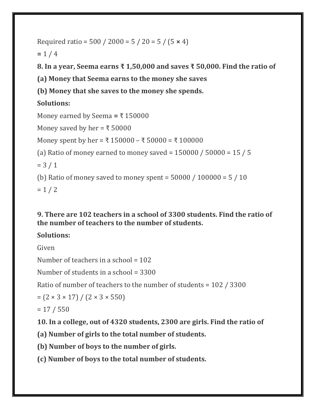```
Required ratio = 500 / 2000 = 5 / 20 = 5 / (5 × 4)
```
 $= 1 / 4$ 

**8. In a year, Seema earns ₹ 1,50,000 and saves ₹ 50,000. Find the ratio of**

**(a) Money that Seema earns to the money she saves**

**(b) Money that she saves to the money she spends.**

# **Solutions:**

```
Money earned by Seema = ₹ 150000
Money saved by her = \overline{\xi} 50000
Money spent by her = ₹ 150000 – ₹ 50000 = ₹ 100000
(a) Ratio of money earned to money saved = 150000 / 50000 = 15 / 5
= 3 / 1(b) Ratio of money saved to money spent = 50000 / 100000 = 5 / 10= 1 / 2
```
## **9. There are 102 teachers in a school of 3300 students. Find the ratio of the number of teachers to the number of students.**

# **Solutions:**

Given

Number of teachers in a school  $= 102$ 

Number of students in a school = 3300

Ratio of number of teachers to the number of students = 102 / 3300

$$
= (2 \times 3 \times 17) / (2 \times 3 \times 550)
$$

 $= 17 / 550$ 

**10. In a college, out of 4320 students, 2300 are girls. Find the ratio of**

**(a) Number of girls to the total number of students.**

**(b) Number of boys to the number of girls.**

**(c) Number of boys to the total number of students.**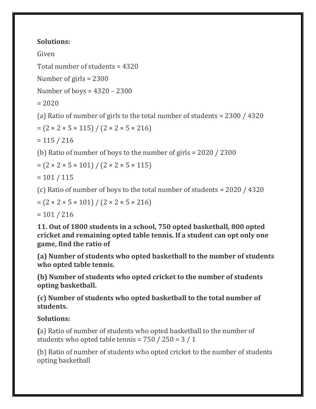Given

Total number of students = 4320

Number of girls = 2300

Number of boys = 4320 – 2300

 $= 2020$ 

(a) Ratio of number of girls to the total number of students = 2300 / 4320

 $= (2 \times 2 \times 5 \times 115) / (2 \times 2 \times 5 \times 216)$ 

 $= 115 / 216$ 

(b) Ratio of number of boys to the number of girls = 2020 / 2300

 $= (2 \times 2 \times 5 \times 101) / (2 \times 2 \times 5 \times 115)$ 

 $= 101 / 115$ 

(c) Ratio of number of boys to the total number of students = 2020 / 4320

 $= (2 \times 2 \times 5 \times 101) / (2 \times 2 \times 5 \times 216)$ 

 $= 101 / 216$ 

**11. Out of 1800 students in a school, 750 opted basketball, 800 opted cricket and remaining opted table tennis. If a student can opt only one game, find the ratio of**

**(a) Number of students who opted basketball to the number of students who opted table tennis.**

**(b) Number of students who opted cricket to the number of students opting basketball.**

**(c) Number of students who opted basketball to the total number of students.**

# **Solutions:**

**(**a) Ratio of number of students who opted basketball to the number of students who opted table tennis =  $750 / 250 = 3 / 1$ 

(b) Ratio of number of students who opted cricket to the number of students opting basketball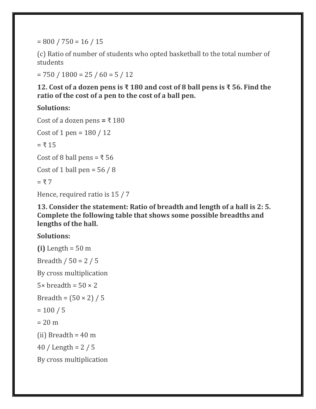$= 800 / 750 = 16 / 15$ 

(c) Ratio of number of students who opted basketball to the total number of students

 $= 750 / 1800 = 25 / 60 = 5 / 12$ 

**12. Cost of a dozen pens is ₹ 180 and cost of 8 ball pens is ₹ 56. Find the ratio of the cost of a pen to the cost of a ball pen.**

**Solutions:**

```
Cost of a dozen pens = ₹ 180
Cost of 1 pen = 180 / 12= ₹ 15Cost of 8 ball pens = \bar{x} 56
Cost of 1 ball pen = 56 / 8= 7Hence, required ratio is 15 / 7
```
**13. Consider the statement: Ratio of breadth and length of a hall is 2: 5. Complete the following table that shows some possible breadths and lengths of the hall.**

## **Solutions:**

**(i)** Length = 50 m Breadth / 50 = 2 / 5 By cross multiplication  $5 \times$  breadth =  $50 \times 2$ Breadth =  $(50 \times 2) / 5$  $= 100 / 5$  $= 20 \text{ m}$ (ii) Breadth  $= 40$  m 40 / Length = 2 / 5 By cross multiplication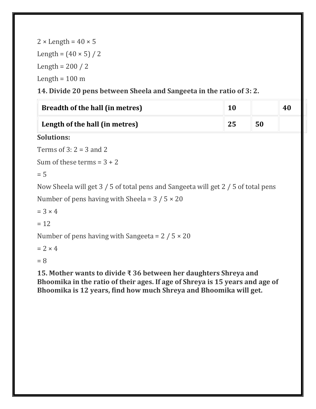| $2 \times$ Length = 40 $\times$ 5 |  |
|-----------------------------------|--|
| Length = $(40 \times 5) / 2$      |  |
| Length = $200 / 2$                |  |
| Length = $100 \text{ m}$          |  |

**14. Divide 20 pens between Sheela and Sangeeta in the ratio of 3: 2.**

| Breadth of the hall (in metres) | 10 |    | 40 |
|---------------------------------|----|----|----|
| Length of the hall (in metres)  | 25 | 50 |    |

# **Solutions:**

Terms of  $3: 2 = 3$  and  $2$ 

Sum of these terms  $= 3 + 2$ 

 $= 5$ 

Now Sheela will get 3 / 5 of total pens and Sangeeta will get 2 / 5 of total pens

```
Number of pens having with Sheela = 3/5 \times 20
```
 $= 3 \times 4$ 

 $= 12$ 

Number of pens having with Sangeeta =  $2/5 \times 20$ 

 $= 2 \times 4$ 

 $= 8$ 

**15. Mother wants to divide ₹ 36 between her daughters Shreya and Bhoomika in the ratio of their ages. If age of Shreya is 15 years and age of Bhoomika is 12 years, find how much Shreya and Bhoomika will get.**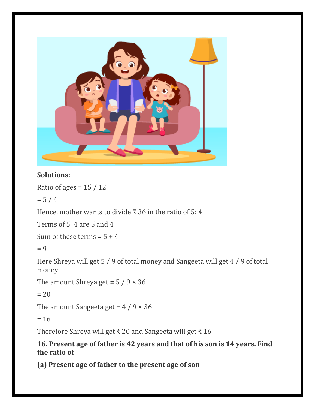

Ratio of ages =  $15/12$ 

 $= 5 / 4$ 

Hence, mother wants to divide  $\bar{x}$  36 in the ratio of 5: 4

Terms of 5: 4 are 5 and 4

Sum of these terms  $= 5 + 4$ 

 $= 9$ 

Here Shreya will get 5 / 9 of total money and Sangeeta will get 4 / 9 of total money

The amount Shreya get  $= 5 / 9 \times 36$ 

 $= 20$ 

The amount Sangeeta get =  $4/9 \times 36$ 

 $= 16$ 

Therefore Shreya will get ₹ 20 and Sangeeta will get ₹ 16

#### **16. Present age of father is 42 years and that of his son is 14 years. Find the ratio of**

**(a) Present age of father to the present age of son**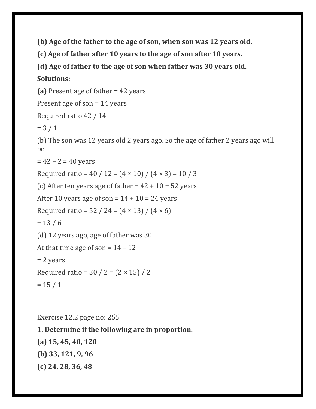**(b) Age of the father to the age of son, when son was 12 years old.**

**(c) Age of father after 10 years to the age of son after 10 years.**

**(d) Age of father to the age of son when father was 30 years old.**

#### **Solutions:**

**(a)** Present age of father = 42 years

Present age of son = 14 years

Required ratio 42 / 14

 $= 3 / 1$ 

(b) The son was 12 years old 2 years ago. So the age of father 2 years ago will be

 $= 42 - 2 = 40$  years

Required ratio =  $40 / 12 = (4 \times 10) / (4 \times 3) = 10 / 3$ 

(c) After ten years age of father  $= 42 + 10 = 52$  years

After 10 years age of son =  $14 + 10 = 24$  years

Required ratio =  $52 / 24 = (4 \times 13) / (4 \times 6)$ 

 $= 13 / 6$ 

(d) 12 years ago, age of father was 30

```
At that time age of son = 14 - 12
```
= 2 years

Required ratio =  $30 / 2 = (2 \times 15) / 2$ 

 $= 15 / 1$ 

Exercise 12.2 page no: 255 **1. Determine if the following are in proportion. (a) 15, 45, 40, 120 (b) 33, 121, 9, 96 (c) 24, 28, 36, 48**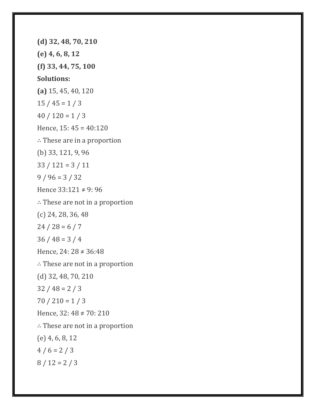**(d) 32, 48, 70, 210 (e) 4, 6, 8, 12 (f) 33, 44, 75, 100 Solutions: (a)** 15, 45, 40, 120  $15 / 45 = 1 / 3$  $40 / 120 = 1 / 3$ Hence, 15: 45 = 40:120 ∴ These are in a proportion (b) 33, 121, 9, 96  $33 / 121 = 3 / 11$  $9 / 96 = 3 / 32$ Hence 33:121 ≠ 9: 96 ∴ These are not in a proportion (c) 24, 28, 36, 48  $24 / 28 = 6 / 7$  $36 / 48 = 3 / 4$ Hence, 24: 28 ≠ 36:48 ∴ These are not in a proportion (d) 32, 48, 70, 210  $32 / 48 = 2 / 3$  $70 / 210 = 1 / 3$ Hence, 32: 48 ≠ 70: 210 ∴ These are not in a proportion (e) 4, 6, 8, 12  $4 / 6 = 2 / 3$  $8 / 12 = 2 / 3$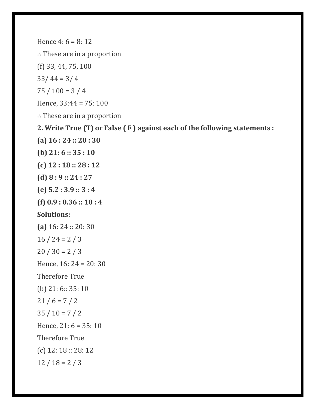Hence 4:  $6 = 8:12$ ∴ These are in a proportion (f) 33, 44, 75, 100  $33/44 = 3/4$  $75 / 100 = 3 / 4$ Hence, 33:44 = 75: 100 ∴ These are in a proportion **2. Write True (T) or False ( F ) against each of the following statements : (a) 16 : 24 :: 20 : 30 (b) 21: 6 :: 35 : 10 (c) 12 : 18 :: 28 : 12 (d) 8 : 9 :: 24 : 27 (e) 5.2 : 3.9 :: 3 : 4 (f) 0.9 : 0.36 :: 10 : 4 Solutions: (a)** 16: 24 :: 20: 30  $16 / 24 = 2 / 3$  $20 / 30 = 2 / 3$ Hence, 16: 24 = 20: 30 Therefore True (b) 21: 6:: 35: 10  $21 / 6 = 7 / 2$  $35 / 10 = 7 / 2$ Hence, 21: 6 = 35: 10 Therefore True (c) 12: 18 :: 28: 12  $12 / 18 = 2 / 3$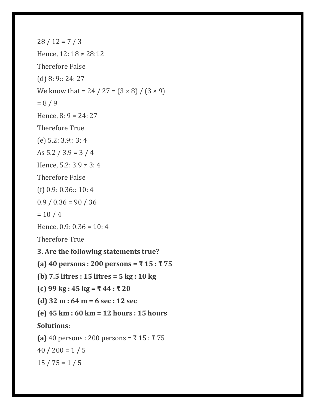$28 / 12 = 7 / 3$ Hence, 12: 18 ≠ 28:12 Therefore False (d) 8: 9:: 24: 27 We know that = 24 / 27 =  $(3 \times 8)$  /  $(3 \times 9)$  $= 8 / 9$ Hence,  $8: 9 = 24: 27$ Therefore True (e) 5.2: 3.9:: 3: 4 As  $5.2 / 3.9 = 3 / 4$ Hence, 5.2:  $3.9 \neq 3: 4$ Therefore False (f) 0.9: 0.36:: 10: 4  $0.9 / 0.36 = 90 / 36$  $= 10 / 4$ Hence,  $0.9: 0.36 = 10: 4$ Therefore True **3. Are the following statements true? (a) 40 persons : 200 persons = ₹ 15 : ₹ 75 (b) 7.5 litres : 15 litres = 5 kg : 10 kg (c) 99 kg : 45 kg = ₹ 44 : ₹ 20 (d) 32 m : 64 m = 6 sec : 12 sec (e) 45 km : 60 km = 12 hours : 15 hours Solutions: (a)** 40 persons : 200 persons = ₹ 15 : ₹ 75  $40 / 200 = 1 / 5$  $15 / 75 = 1 / 5$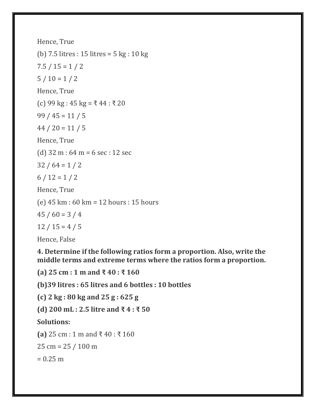Hence, True (b) 7.5 litres : 15 litres = 5 kg : 10 kg  $7.5 / 15 = 1 / 2$  $5/10 = 1/2$ Hence, True (c) 99 kg : 45 kg = ₹ 44 : ₹ 20  $99 / 45 = 11 / 5$  $44 / 20 = 11 / 5$ Hence, True (d) 32 m : 64 m = 6 sec : 12 sec  $32 / 64 = 1 / 2$  $6/12=1/2$ Hence, True (e) 45 km : 60 km = 12 hours : 15 hours  $45 / 60 = 3 / 4$  $12 / 15 = 4 / 5$ Hence, False

**4. Determine if the following ratios form a proportion. Also, write the middle terms and extreme terms where the ratios form a proportion.**

**(a) 25 cm : 1 m and ₹ 40 : ₹ 160**

**(b)39 litres : 65 litres and 6 bottles : 10 bottles**

**(c) 2 kg : 80 kg and 25 g : 625 g**

**(d) 200 mL : 2.5 litre and ₹ 4 : ₹ 50**

**Solutions:**

**(a)** 25 cm : 1 m and ₹ 40 : ₹ 160

25 cm = 25 / 100 m

 $= 0.25$  m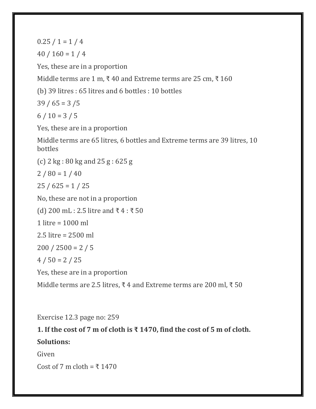$0.25 / 1 = 1 / 4$ 

 $40 / 160 = 1 / 4$ 

Yes, these are in a proportion

Middle terms are 1 m, ₹ 40 and Extreme terms are 25 cm, ₹ 160

(b) 39 litres : 65 litres and 6 bottles : 10 bottles

 $39 / 65 = 3 / 5$ 

 $6 / 10 = 3 / 5$ 

Yes, these are in a proportion

Middle terms are 65 litres, 6 bottles and Extreme terms are 39 litres, 10 bottles

(c) 2 kg : 80 kg and 25 g : 625 g

 $2 / 80 = 1 / 40$ 

 $25 / 625 = 1 / 25$ 

No, these are not in a proportion

(d) 200 mL : 2.5 litre and ₹ 4 : ₹ 50

1 litre = 1000 ml

2.5 litre = 2500 ml

 $200 / 2500 = 2 / 5$ 

 $4 / 50 = 2 / 25$ 

Yes, these are in a proportion

Middle terms are 2.5 litres, ₹4 and Extreme terms are 200 ml, ₹ 50

Exercise 12.3 page no: 259

## **1. If the cost of 7 m of cloth is ₹ 1470, find the cost of 5 m of cloth.**

#### **Solutions:**

Given

Cost of 7 m cloth =  $\overline{x}$  1470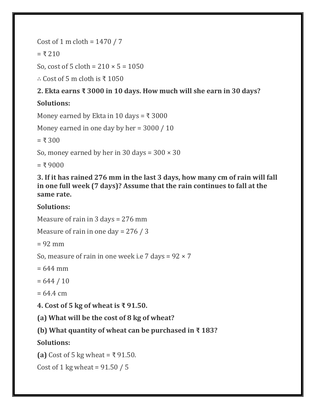Cost of 1 m cloth =  $1470 / 7$ 

 $= 7.210$ 

So, cost of 5 cloth =  $210 \times 5 = 1050$ 

∴ Cost of 5 m cloth is ₹ 1050

# **2. Ekta earns ₹ 3000 in 10 days. How much will she earn in 30 days?**

# **Solutions:**

Money earned by Ekta in 10 days =  $\overline{x}$  3000

```
Money earned in one day by her = 3000 / 10
```
 $= 7.300$ 

So, money earned by her in 30 days =  $300 \times 30$ 

 $= 59000$ 

**3. If it has rained 276 mm in the last 3 days, how many cm of rain will fall in one full week (7 days)? Assume that the rain continues to fall at the same rate.**

# **Solutions:**

Measure of rain in 3 days = 276 mm

Measure of rain in one day = 276 / 3

 $= 92$  mm

So, measure of rain in one week i.e 7 days =  $92 \times 7$ 

 $= 644$  mm

 $= 644 / 10$ 

 $= 64.4$  cm

**4. Cost of 5 kg of wheat is ₹ 91.50.**

**(a) What will be the cost of 8 kg of wheat?**

**(b) What quantity of wheat can be purchased in ₹ 183?**

**Solutions:**

**(a)** Cost of 5 kg wheat = ₹ 91.50.

Cost of 1 kg wheat =  $91.50 / 5$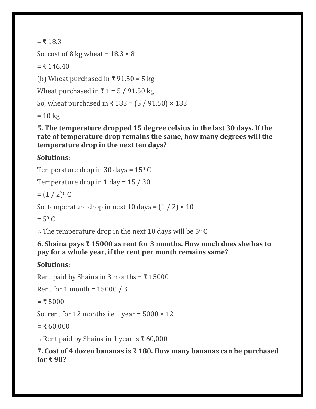$= 718.3$ 

So, cost of 8 kg wheat =  $18.3 \times 8$ 

 $= 7146.40$ 

(b) Wheat purchased in ₹ 91.50 = 5 kg

Wheat purchased in  $\bar{x}$  1 = 5 / 91.50 kg

So, wheat purchased in ₹ 183 =  $(5 / 91.50) \times 183$ 

 $= 10 \text{ kg}$ 

**5. The temperature dropped 15 degree celsius in the last 30 days. If the rate of temperature drop remains the same, how many degrees will the temperature drop in the next ten days?**

## **Solutions:**

Temperature drop in 30 days =  $15^{\circ}$  C

Temperature drop in 1 day = 15 / 30

 $=(1/2)^{0}C$ 

So, temperature drop in next 10 days =  $(1 / 2) \times 10$ 

 $= 5^{\circ}$  C

∴ The temperature drop in the next 10 days will be  $5^{\circ}$  C

### **6. Shaina pays ₹ 15000 as rent for 3 months. How much does she has to pay for a whole year, if the rent per month remains same?**

## **Solutions:**

Rent paid by Shaina in 3 months =  $\bar{x}$  15000

```
Rent for 1 month = 15000 / 3
```

```
= ₹ 5000
```
So, rent for 12 months i.e 1 year =  $5000 \times 12$ 

**=** ₹ 60,000

∴ Rent paid by Shaina in 1 year is ₹ 60,000

**7. Cost of 4 dozen bananas is ₹ 180. How many bananas can be purchased for ₹ 90?**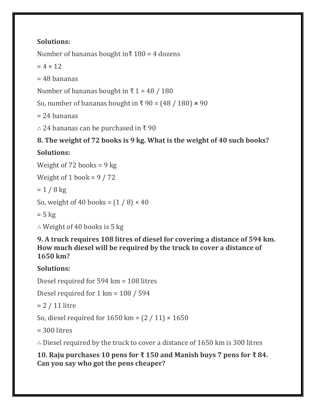Number of bananas bought in $\bar{x}$  180 = 4 dozens

 $= 4 \times 12$ 

 $= 48$  bananas

Number of bananas bought in  $\bar{x}$  1 = 48 / 180

So, number of bananas bought in ₹ 90 = (48 / 180) **×** 90

 $= 24$  bananas

∴ 24 bananas can be purchased in ₹ 90

# **8. The weight of 72 books is 9 kg. What is the weight of 40 such books?**

# **Solutions:**

Weight of 72 books = 9 kg

Weight of 1 book =  $9/72$ 

 $= 1 / 8$  kg

```
So, weight of 40 books = (1/8) \times 40
```
 $= 5$  kg

∴ Weight of 40 books is 5 kg

**9. A truck requires 108 litres of diesel for covering a distance of 594 km. How much diesel will be required by the truck to cover a distance of 1650 km?**

**Solutions:**

Diesel required for 594 km = 108 litres

Diesel required for 1 km = 108 / 594

= 2 / 11 litre

So, diesel required for  $1650 \text{ km} = (2 / 11) \times 1650$ 

 $= 300$  litres

∴ Diesel required by the truck to cover a distance of 1650 km is 300 litres

**10. Raju purchases 10 pens for ₹ 150 and Manish buys 7 pens for ₹ 84. Can you say who got the pens cheaper?**